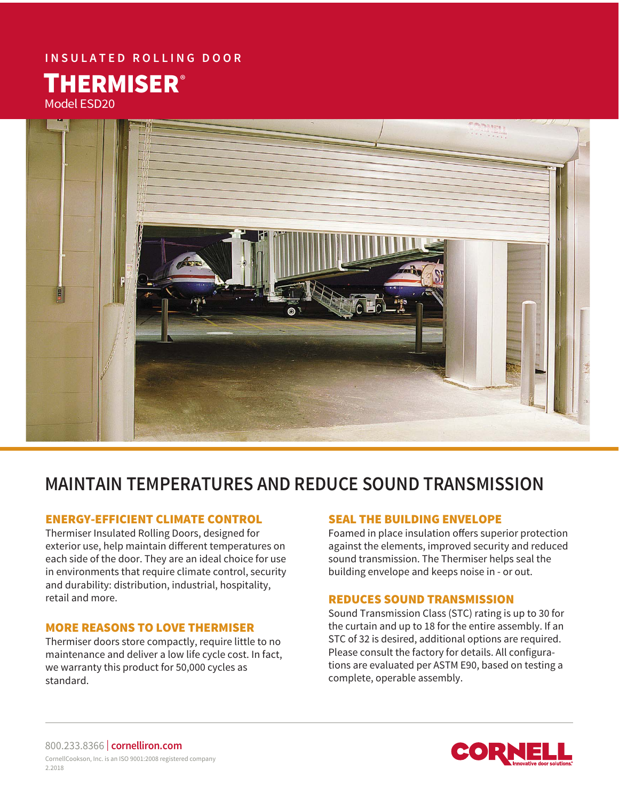# **INSULATED ROLLING DOOR**

Model ESD20 **THERMISER®** 



# **MAINTAIN TEMPERATURES AND REDUCE SOUND TRANSMISSION**

# ENERGY-EFFICIENT CLIMATE CONTROL

Thermiser Insulated Rolling Doors, designed for exterior use, help maintain different temperatures on each side of the door. They are an ideal choice for use in environments that require climate control, security and durability: distribution, industrial, hospitality, retail and more.

## MORE REASONS TO LOVE THERMISER

Thermiser doors store compactly, require little to no maintenance and deliver a low life cycle cost. In fact, we warranty this product for 50,000 cycles as standard.

## SEAL THE BUILDING ENVELOPE

Foamed in place insulation offers superior protection against the elements, improved security and reduced sound transmission. The Thermiser helps seal the building envelope and keeps noise in - or out.

#### REDUCES SOUND TRANSMISSION

Sound Transmission Class (STC) rating is up to 30 for the curtain and up to 18 for the entire assembly. If an STC of 32 is desired, additional options are required. Please consult the factory for details. All configurations are evaluated per ASTM E90, based on testing a complete, operable assembly.